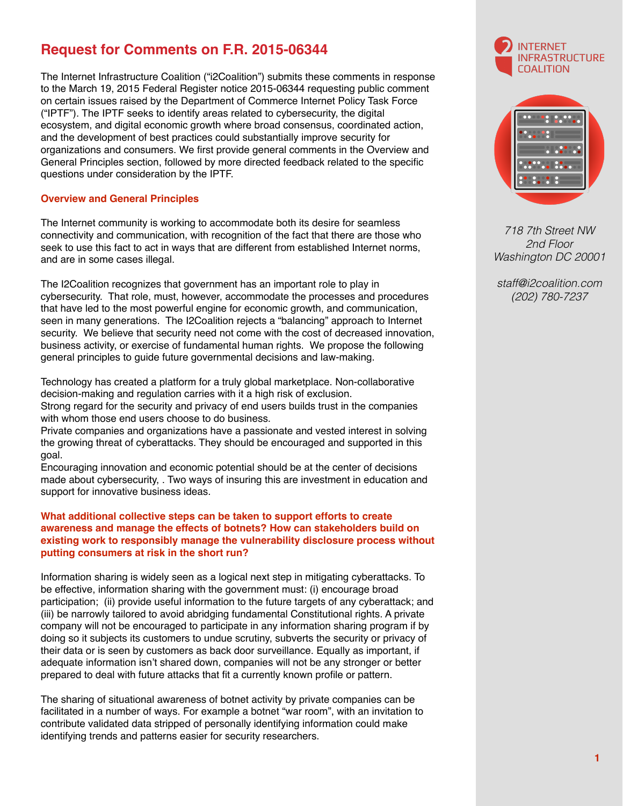## **Request for Comments on F.R. 2015-06344**

The Internet Infrastructure Coalition ("i2Coalition") submits these comments in response to the March 19, 2015 Federal Register notice 2015-06344 requesting public comment on certain issues raised by the Department of Commerce Internet Policy Task Force ("IPTF"). The IPTF seeks to identify areas related to cybersecurity, the digital ecosystem, and digital economic growth where broad consensus, coordinated action, and the development of best practices could substantially improve security for organizations and consumers. We first provide general comments in the Overview and General Principles section, followed by more directed feedback related to the specific questions under consideration by the IPTF.

## **Overview and General Principles**

The Internet community is working to accommodate both its desire for seamless connectivity and communication, with recognition of the fact that there are those who seek to use this fact to act in ways that are different from established Internet norms, and are in some cases illegal.

The I2Coalition recognizes that government has an important role to play in cybersecurity. That role, must, however, accommodate the processes and procedures that have led to the most powerful engine for economic growth, and communication, seen in many generations. The I2Coalition rejects a "balancing" approach to Internet security. We believe that security need not come with the cost of decreased innovation, business activity, or exercise of fundamental human rights. We propose the following general principles to guide future governmental decisions and law-making.

Technology has created a platform for a truly global marketplace. Non-collaborative decision-making and regulation carries with it a high risk of exclusion. Strong regard for the security and privacy of end users builds trust in the companies with whom those end users choose to do business.

Private companies and organizations have a passionate and vested interest in solving the growing threat of cyberattacks. They should be encouraged and supported in this goal.

Encouraging innovation and economic potential should be at the center of decisions made about cybersecurity, . Two ways of insuring this are investment in education and support for innovative business ideas.

## **What additional collective steps can be taken to support efforts to create awareness and manage the effects of botnets? How can stakeholders build on existing work to responsibly manage the vulnerability disclosure process without putting consumers at risk in the short run?**

Information sharing is widely seen as a logical next step in mitigating cyberattacks. To be effective, information sharing with the government must: (i) encourage broad participation; (ii) provide useful information to the future targets of any cyberattack; and (iii) be narrowly tailored to avoid abridging fundamental Constitutional rights. A private company will not be encouraged to participate in any information sharing program if by doing so it subjects its customers to undue scrutiny, subverts the security or privacy of their data or is seen by customers as back door surveillance. Equally as important, if adequate information isn't shared down, companies will not be any stronger or better prepared to deal with future attacks that fit a currently known profile or pattern.

The sharing of situational awareness of botnet activity by private companies can be facilitated in a number of ways. For example a botnet "war room", with an invitation to contribute validated data stripped of personally identifying information could make identifying trends and patterns easier for security researchers.





*718 7th Street NW 2nd Floor Washington DC 20001* 

*staff@i2coalition.com (202) 780-7237*